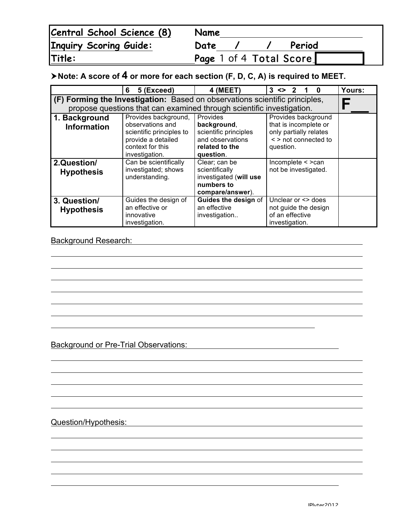| Central School Science (8)    | Name |  |                         |  |
|-------------------------------|------|--|-------------------------|--|
| <b>Inquiry Scoring Guide:</b> | Date |  | Period                  |  |
| Title:                        |      |  | Page 1 of 4 Total Score |  |

## !**Note: A score of 4 or more for each section (F, D, C, A) is required to MEET.**

|                                                                             | 5 (Exceed)<br>6                                                                                                                                                                                                                                                                                                                | 4 (MEET)                                                                                    | $3 \leq$                                                  | Yours: |  |  |  |  |  |
|-----------------------------------------------------------------------------|--------------------------------------------------------------------------------------------------------------------------------------------------------------------------------------------------------------------------------------------------------------------------------------------------------------------------------|---------------------------------------------------------------------------------------------|-----------------------------------------------------------|--------|--|--|--|--|--|
| (F) Forming the Investigation: Based on observations scientific principles, |                                                                                                                                                                                                                                                                                                                                |                                                                                             |                                                           |        |  |  |  |  |  |
| propose questions that can examined through scientific investigation.       |                                                                                                                                                                                                                                                                                                                                |                                                                                             |                                                           |        |  |  |  |  |  |
| 1. Background<br><b>Information</b>                                         | Provides background,<br><b>Provides</b><br>Provides background<br>observations and<br>that is incomplete or<br>background,<br>only partially relates<br>scientific principles<br>scientific principles to<br>and observations<br>provide a detailed<br>< > not connected to<br>context for this<br>related to the<br>question. |                                                                                             |                                                           |        |  |  |  |  |  |
|                                                                             | investigation.                                                                                                                                                                                                                                                                                                                 | question.                                                                                   |                                                           |        |  |  |  |  |  |
| 2.Question/<br><b>Hypothesis</b>                                            | Can be scientifically<br>investigated; shows<br>understanding.                                                                                                                                                                                                                                                                 | Clear; can be<br>scientifically<br>investigated (will use<br>numbers to<br>compare/answer). | Incomplete $\leq$ > can<br>not be investigated.           |        |  |  |  |  |  |
| 3. Question/                                                                | Guides the design of                                                                                                                                                                                                                                                                                                           | Guides the design of                                                                        | Unclear or <> does                                        |        |  |  |  |  |  |
| <b>Hypothesis</b>                                                           | an effective or<br>innovative<br>investigation.                                                                                                                                                                                                                                                                                | an effective<br>investigation                                                               | not guide the design<br>of an effective<br>investigation. |        |  |  |  |  |  |

## Background Research: **Background Research: Background Research: Background Research:**

Background or Pre-Trial Observations:

Question/Hypothesis: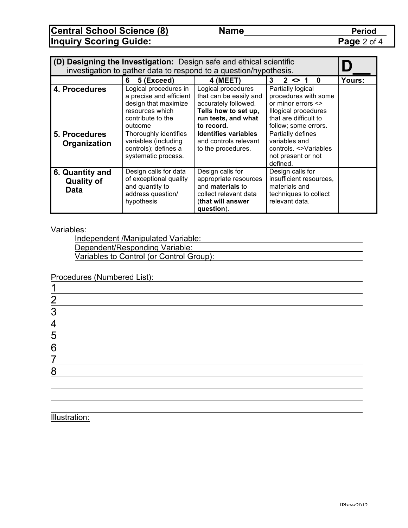**Central School Science (8) Name Period Inquiry Scoring Guide: Page 2 of 4** 

| (D) Designing the Investigation: Design safe and ethical scientific |                                                                                                                                                                              |                                                                                                                                                                                           |                                                                                                                                                                                    |        |  |  |  |  |  |
|---------------------------------------------------------------------|------------------------------------------------------------------------------------------------------------------------------------------------------------------------------|-------------------------------------------------------------------------------------------------------------------------------------------------------------------------------------------|------------------------------------------------------------------------------------------------------------------------------------------------------------------------------------|--------|--|--|--|--|--|
| investigation to gather data to respond to a question/hypothesis.   |                                                                                                                                                                              |                                                                                                                                                                                           |                                                                                                                                                                                    |        |  |  |  |  |  |
|                                                                     | 5 (Exceed)<br>6                                                                                                                                                              | 4 (MEET)                                                                                                                                                                                  | $2 \le 1$<br>3<br>$\bf{0}$                                                                                                                                                         | Yours: |  |  |  |  |  |
| 4. Procedures<br>5. Procedures                                      | Logical procedures in<br>a precise and efficient<br>design that maximize<br>resources which<br>contribute to the<br>outcome<br>Thoroughly identifies<br>variables (including | Logical procedures<br>that can be easily and<br>accurately followed.<br>Tells how to set up,<br>run tests, and what<br>to record.<br><b>Identifies variables</b><br>and controls relevant | Partially logical<br>procedures with some<br>or minor errors $\leq$<br>Illogical procedures<br>that are difficult to<br>follow; some errors.<br>Partially defines<br>variables and |        |  |  |  |  |  |
| Organization                                                        | controls); defines a<br>systematic process.                                                                                                                                  | to the procedures.                                                                                                                                                                        | controls. <>Variables<br>not present or not<br>defined.                                                                                                                            |        |  |  |  |  |  |
| 6. Quantity and<br><b>Quality of</b><br><b>Data</b>                 | Design calls for data<br>of exceptional quality<br>and quantity to<br>address question/<br>hypothesis                                                                        | Design calls for<br>appropriate resources<br>and materials to<br>collect relevant data<br>(that will answer<br>question).                                                                 | Design calls for<br>insufficient resources,<br>materials and<br>techniques to collect<br>relevant data.                                                                            |        |  |  |  |  |  |

Variables:

Independent /Manipulated Variable: Dependent/Responding Variable: Variables to Control (or Control Group):

Procedures (Numbered List):

| n         |  |  |  |
|-----------|--|--|--|
| ◠<br>v.   |  |  |  |
|           |  |  |  |
| 5         |  |  |  |
| 6         |  |  |  |
|           |  |  |  |
| $\bullet$ |  |  |  |
|           |  |  |  |

Illustration: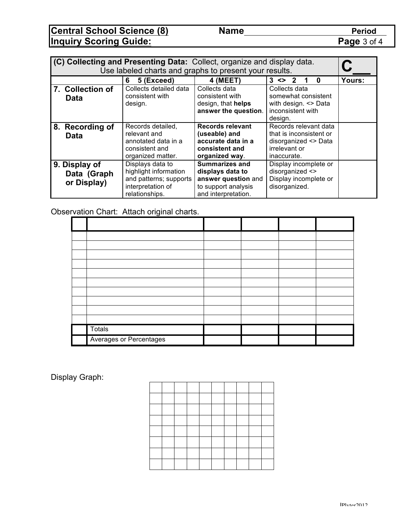**Central School Science (8) Name Period Inquiry Scoring Guide: Page 3 of 4** 

| (C) Collecting and Presenting Data: Collect, organize and display data.<br>Use labeled charts and graphs to present your results. |                                                                                                                                                                                                                                                                                                                                                                   |                                                                                                 |                                                                                             |                                                                                                          |        |  |  |
|-----------------------------------------------------------------------------------------------------------------------------------|-------------------------------------------------------------------------------------------------------------------------------------------------------------------------------------------------------------------------------------------------------------------------------------------------------------------------------------------------------------------|-------------------------------------------------------------------------------------------------|---------------------------------------------------------------------------------------------|----------------------------------------------------------------------------------------------------------|--------|--|--|
|                                                                                                                                   |                                                                                                                                                                                                                                                                                                                                                                   | 5 (Exceed)<br>6                                                                                 | 4 (MEET)                                                                                    | $3 \le 2$<br>1<br>$\mathbf{0}$                                                                           | Yours: |  |  |
|                                                                                                                                   | 7. Collection of<br><b>Data</b>                                                                                                                                                                                                                                                                                                                                   | Collects detailed data<br>consistent with<br>design.                                            | Collects data<br>consistent with<br>design, that helps<br>answer the question.              | Collects data<br>somewhat consistent<br>with design. <> Data<br>inconsistent with<br>design.             |        |  |  |
|                                                                                                                                   | 8. Recording of<br><b>Data</b>                                                                                                                                                                                                                                                                                                                                    | Records detailed,<br>relevant and<br>annotated data in a<br>consistent and<br>organized matter. | Records relevant<br>(useable) and<br>accurate data in a<br>consistent and<br>organized way. | Records relevant data<br>that is inconsistent or<br>disorganized <> Data<br>irrelevant or<br>inaccurate. |        |  |  |
|                                                                                                                                   | <b>Summarizes and</b><br>Displays data to<br>Display incomplete or<br>9. Display of<br>highlight information<br>disorganized <><br>displays data to<br>Data (Graph<br>and patterns; supports<br>answer question and<br>Display incomplete or<br>or Display)<br>interpretation of<br>to support analysis<br>disorganized.<br>and interpretation.<br>relationships. |                                                                                                 |                                                                                             |                                                                                                          |        |  |  |

Observation Chart: Attach original charts.

| <b>Totals</b>           |  |  |
|-------------------------|--|--|
| Averages or Percentages |  |  |

Display Graph: